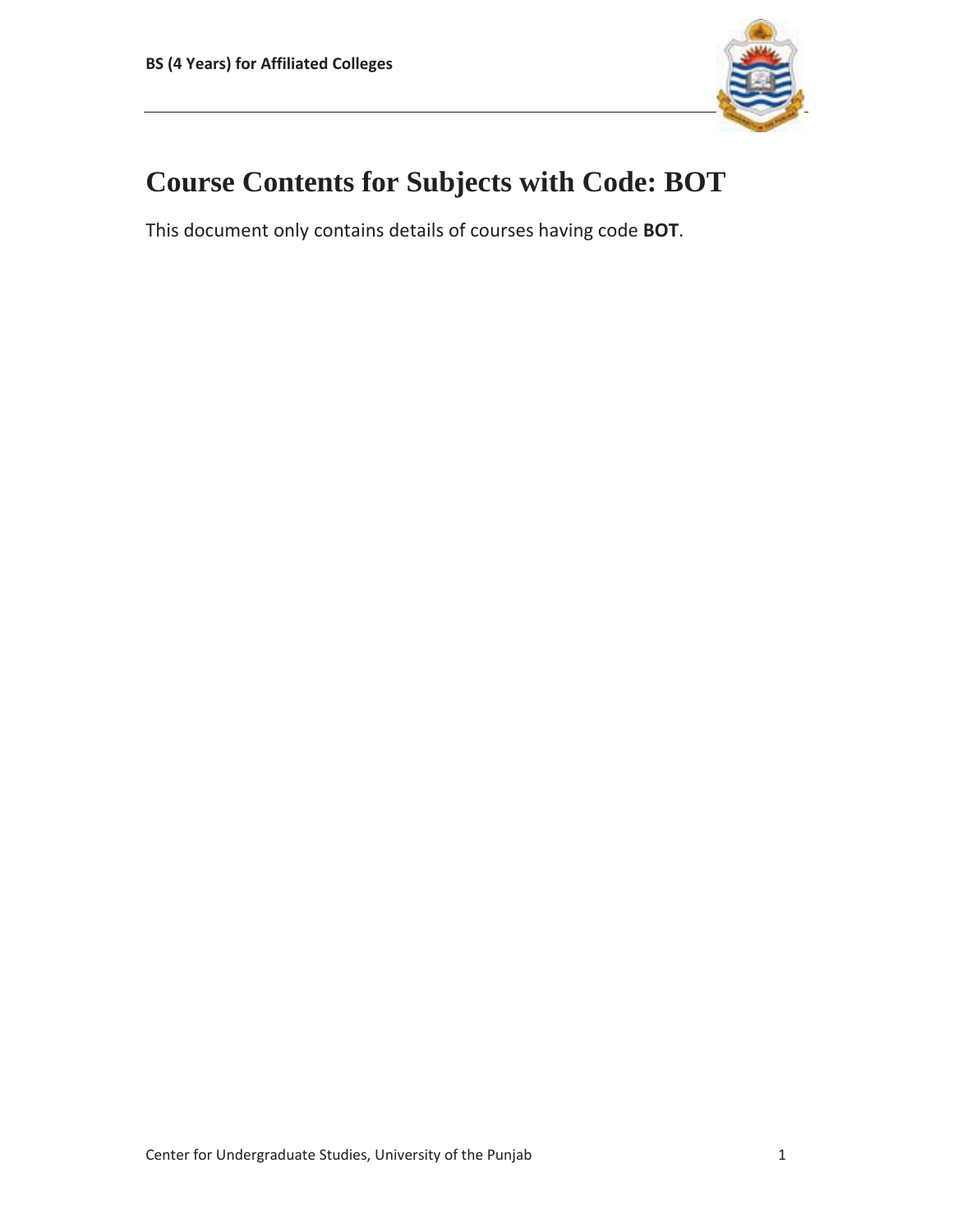

# **Course Contents for Subjects with Code: BOT**

This document only contains details of courses having code **BOT**.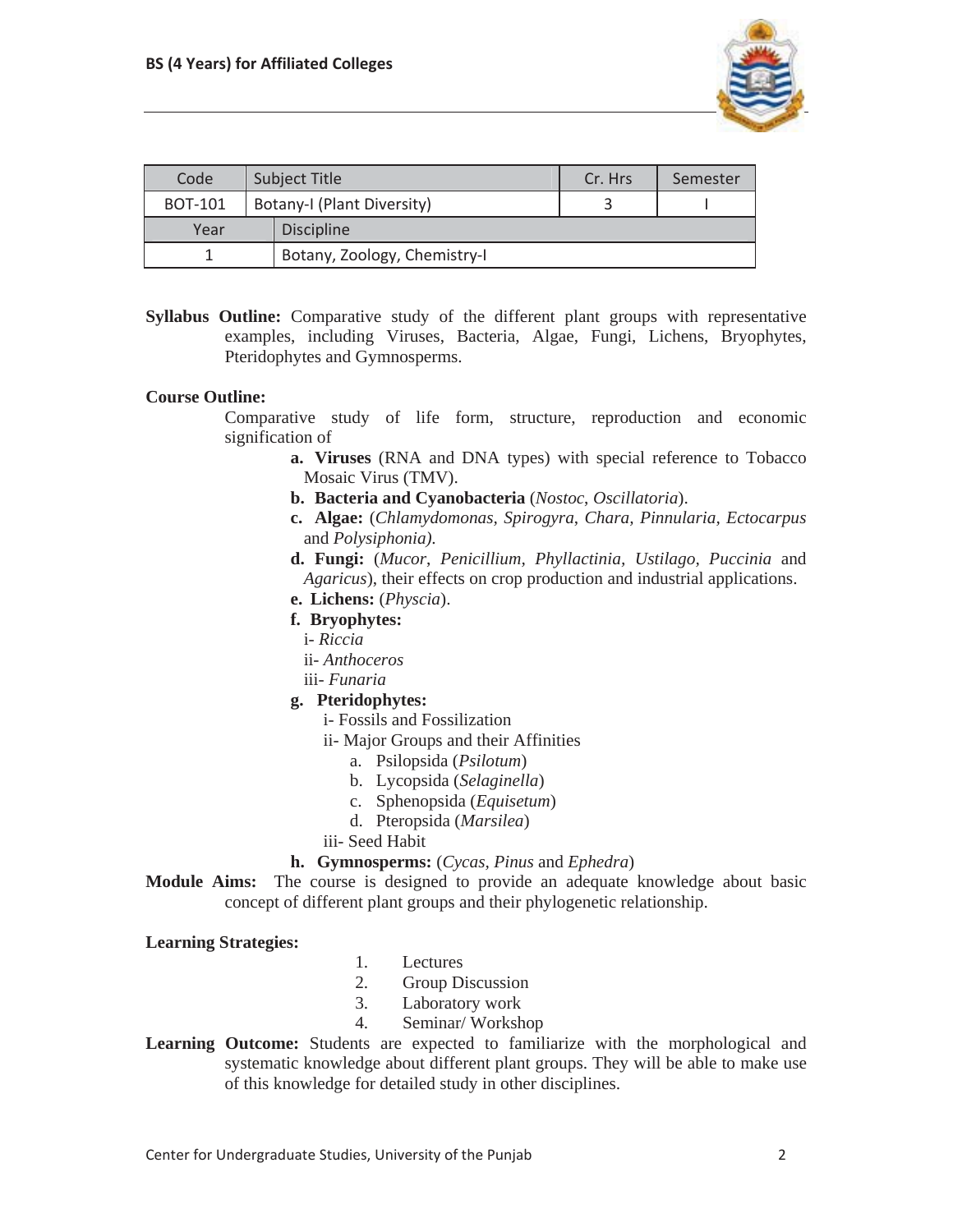

| Code           | <b>Subject Title</b> |                              | Cr. Hrs | Semester |
|----------------|----------------------|------------------------------|---------|----------|
| <b>BOT-101</b> |                      | Botany-I (Plant Diversity)   |         |          |
| Year           |                      | <b>Discipline</b>            |         |          |
|                |                      | Botany, Zoology, Chemistry-I |         |          |

**Syllabus Outline:** Comparative study of the different plant groups with representative examples, including Viruses, Bacteria, Algae, Fungi, Lichens, Bryophytes, Pteridophytes and Gymnosperms.

### **Course Outline:**

Comparative study of life form, structure, reproduction and economic signification of

- **a. Viruses** (RNA and DNA types) with special reference to Tobacco Mosaic Virus (TMV).
- **b. Bacteria and Cyanobacteria** (*Nostoc*, *Oscillatoria*).
- **c. Algae:** (*Chlamydomonas, Spirogyra*, *Chara, Pinnularia, Ectocarpus*  and *Polysiphonia).*
- **d. Fungi:** (*Mucor*, *Penicillium, Phyllactinia, Ustilago, Puccinia* and *Agaricus*), their effects on crop production and industrial applications.
- **e. Lichens:** (*Physcia*).
- **f. Bryophytes:** 
	- i- *Riccia*
	- ii- *Anthoceros*
	- iii- *Funaria*

#### **g. Pteridophytes:**

- i- Fossils and Fossilization
- ii- Major Groups and their Affinities
	- a. Psilopsida (*Psilotum*)
		- b. Lycopsida (*Selaginella*)
		- c. Sphenopsida (*Equisetum*)
		- d. Pteropsida (*Marsilea*)
- iii- Seed Habit

#### **h. Gymnosperms:** (*Cycas, Pinus* and *Ephedra*)

**Module Aims:** The course is designed to provide an adequate knowledge about basic concept of different plant groups and their phylogenetic relationship.

#### **Learning Strategies:**

- 1. Lectures
- 2. Group Discussion
- 3. Laboratory work
- 4. Seminar/ Workshop
- **Learning Outcome:** Students are expected to familiarize with the morphological and systematic knowledge about different plant groups. They will be able to make use of this knowledge for detailed study in other disciplines.